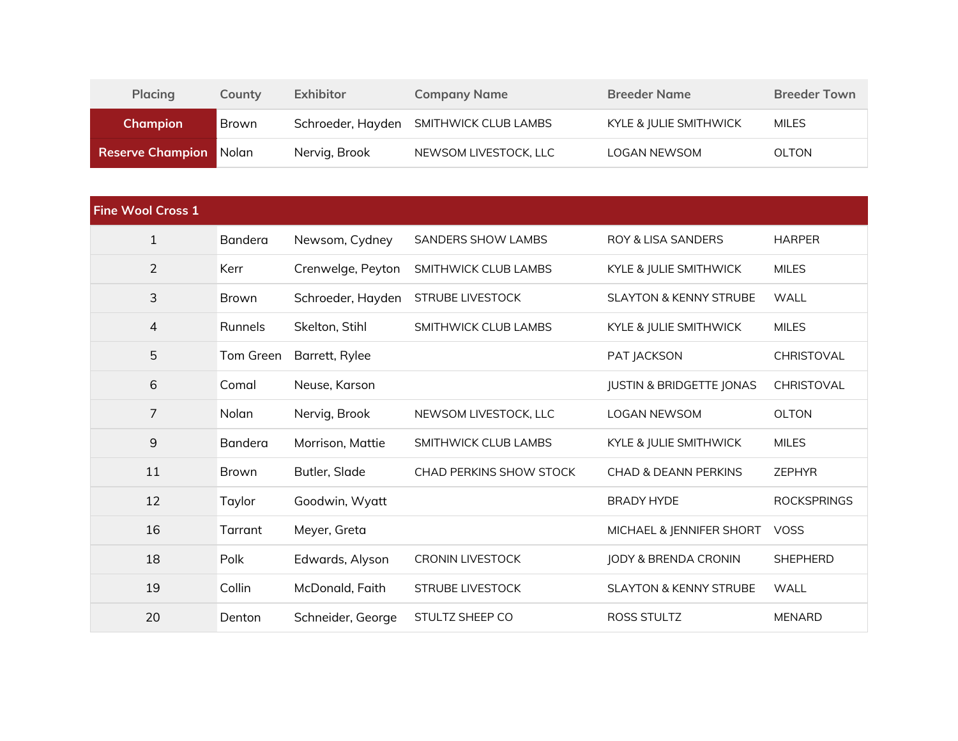| <b>Placing</b>                | Countv       | <b>Exhibitor</b> | <b>Company Name</b>                    | <b>Breeder Name</b>    | <b>Breeder Town</b> |
|-------------------------------|--------------|------------------|----------------------------------------|------------------------|---------------------|
| <b>Champion</b>               | <b>Brown</b> |                  | Schroeder, Hayden SMITHWICK CLUB LAMBS | KYLE & JULIE SMITHWICK | <b>MILES</b>        |
| <b>Reserve Champion Nolan</b> |              | Nervig, Brook    | NEWSOM LIVESTOCK, LLC                  | <b>LOGAN NEWSOM</b>    | <b>OLTON</b>        |

| <b>Fine Wool Cross 1</b> |                |                   |                                |                                     |                    |
|--------------------------|----------------|-------------------|--------------------------------|-------------------------------------|--------------------|
| $\mathbf{1}$             | <b>Bandera</b> | Newsom, Cydney    | <b>SANDERS SHOW LAMBS</b>      | <b>ROY &amp; LISA SANDERS</b>       | <b>HARPER</b>      |
| $\overline{2}$           | Kerr           | Crenwelge, Peyton | SMITHWICK CLUB LAMBS           | KYLE & JULIE SMITHWICK              | <b>MILES</b>       |
| 3                        | Brown          | Schroeder, Hayden | <b>STRUBE LIVESTOCK</b>        | <b>SLAYTON &amp; KENNY STRUBE</b>   | WALL               |
| $\overline{4}$           | Runnels        | Skelton, Stihl    | SMITHWICK CLUB LAMBS           | KYLE & JULIE SMITHWICK              | <b>MILES</b>       |
| 5                        | Tom Green      | Barrett, Rylee    |                                | PAT JACKSON                         | CHRISTOVAL         |
| 6                        | Comal          | Neuse, Karson     |                                | <b>JUSTIN &amp; BRIDGETTE JONAS</b> | CHRISTOVAL         |
| $\overline{7}$           | Nolan          | Nervig, Brook     | NEWSOM LIVESTOCK, LLC          | <b>LOGAN NEWSOM</b>                 | <b>OLTON</b>       |
| $\boldsymbol{9}$         | Bandera        | Morrison, Mattie  | SMITHWICK CLUB LAMBS           | KYLE & JULIE SMITHWICK              | <b>MILES</b>       |
| 11                       | <b>Brown</b>   | Butler, Slade     | <b>CHAD PERKINS SHOW STOCK</b> | <b>CHAD &amp; DEANN PERKINS</b>     | <b>ZEPHYR</b>      |
| 12                       | Taylor         | Goodwin, Wyatt    |                                | <b>BRADY HYDE</b>                   | <b>ROCKSPRINGS</b> |
| 16                       | Tarrant        | Meyer, Greta      |                                | MICHAEL & JENNIFER SHORT            | <b>VOSS</b>        |
| 18                       | Polk           | Edwards, Alyson   | <b>CRONIN LIVESTOCK</b>        | JODY & BRENDA CRONIN                | <b>SHEPHERD</b>    |
| 19                       | Collin         | McDonald, Faith   | <b>STRUBE LIVESTOCK</b>        | <b>SLAYTON &amp; KENNY STRUBE</b>   | <b>WALL</b>        |
| 20                       | Denton         | Schneider, George | STULTZ SHEEP CO                | <b>ROSS STULTZ</b>                  | <b>MENARD</b>      |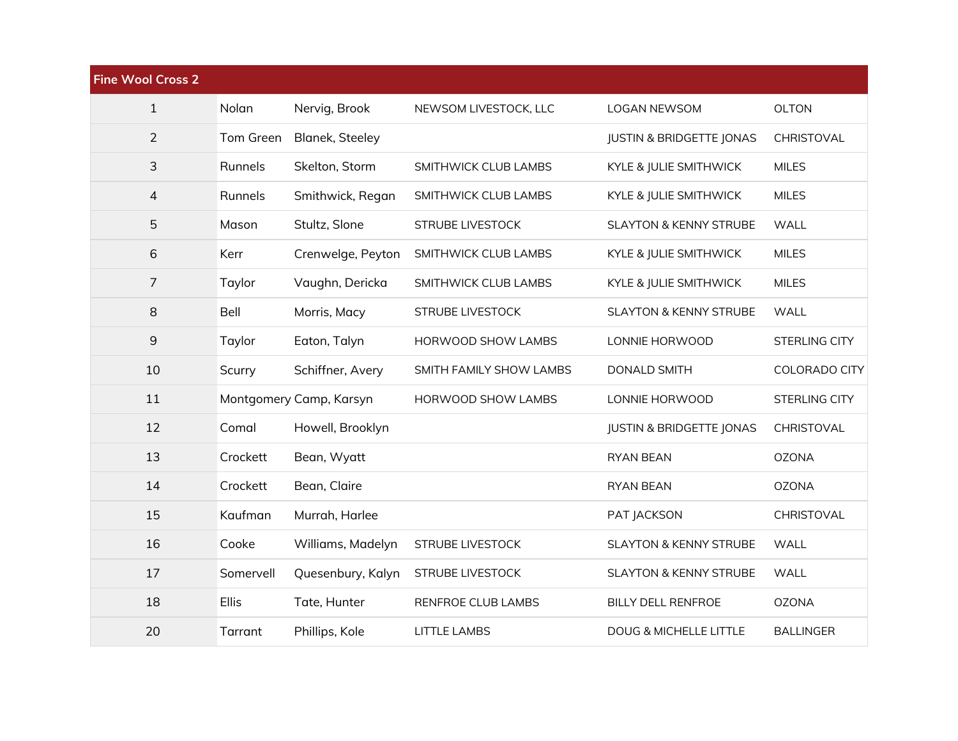| <b>Fine Wool Cross 2</b> |           |                         |                         |                                     |                      |
|--------------------------|-----------|-------------------------|-------------------------|-------------------------------------|----------------------|
| $\mathbf{1}$             | Nolan     | Nervig, Brook           | NEWSOM LIVESTOCK, LLC   | <b>LOGAN NEWSOM</b>                 | <b>OLTON</b>         |
| $\overline{2}$           | Tom Green | <b>Blanek, Steeley</b>  |                         | <b>JUSTIN &amp; BRIDGETTE JONAS</b> | CHRISTOVAL           |
| 3                        | Runnels   | Skelton, Storm          | SMITHWICK CLUB LAMBS    | KYLE & JULIE SMITHWICK              | <b>MILES</b>         |
| $\overline{4}$           | Runnels   | Smithwick, Regan        | SMITHWICK CLUB LAMBS    | KYLE & JULIE SMITHWICK              | <b>MILES</b>         |
| 5                        | Mason     | Stultz, Slone           | <b>STRUBE LIVESTOCK</b> | <b>SLAYTON &amp; KENNY STRUBE</b>   | <b>WALL</b>          |
| 6                        | Kerr      | Crenwelge, Peyton       | SMITHWICK CLUB LAMBS    | KYLE & JULIE SMITHWICK              | <b>MILES</b>         |
| $\overline{7}$           | Taylor    | Vaughn, Dericka         | SMITHWICK CLUB LAMBS    | KYLE & JULIE SMITHWICK              | <b>MILES</b>         |
| 8                        | Bell      | Morris, Macy            | <b>STRUBE LIVESTOCK</b> | <b>SLAYTON &amp; KENNY STRUBE</b>   | <b>WALL</b>          |
| $9\,$                    | Taylor    | Eaton, Talyn            | HORWOOD SHOW LAMBS      | LONNIE HORWOOD                      | <b>STERLING CITY</b> |
| 10                       | Scurry    | Schiffner, Avery        | SMITH FAMILY SHOW LAMBS | <b>DONALD SMITH</b>                 | COLORADO CITY        |
| 11                       |           | Montgomery Camp, Karsyn | HORWOOD SHOW LAMBS      | LONNIE HORWOOD                      | <b>STERLING CITY</b> |
| 12                       | Comal     | Howell, Brooklyn        |                         | <b>JUSTIN &amp; BRIDGETTE JONAS</b> | CHRISTOVAL           |
| 13                       | Crockett  | Bean, Wyatt             |                         | <b>RYAN BEAN</b>                    | <b>OZONA</b>         |
| 14                       | Crockett  | Bean, Claire            |                         | <b>RYAN BEAN</b>                    | <b>OZONA</b>         |
| 15                       | Kaufman   | Murrah, Harlee          |                         | PAT JACKSON                         | CHRISTOVAL           |
| 16                       | Cooke     | Williams, Madelyn       | <b>STRUBE LIVESTOCK</b> | <b>SLAYTON &amp; KENNY STRUBE</b>   | <b>WALL</b>          |
| 17                       | Somervell | Quesenbury, Kalyn       | STRUBE LIVESTOCK        | <b>SLAYTON &amp; KENNY STRUBE</b>   | <b>WALL</b>          |
| 18                       | Ellis     | Tate, Hunter            | RENFROE CLUB LAMBS      | <b>BILLY DELL RENFROE</b>           | <b>OZONA</b>         |
| 20                       | Tarrant   | Phillips, Kole          | <b>LITTLE LAMBS</b>     | <b>DOUG &amp; MICHELLE LITTLE</b>   | <b>BALLINGER</b>     |